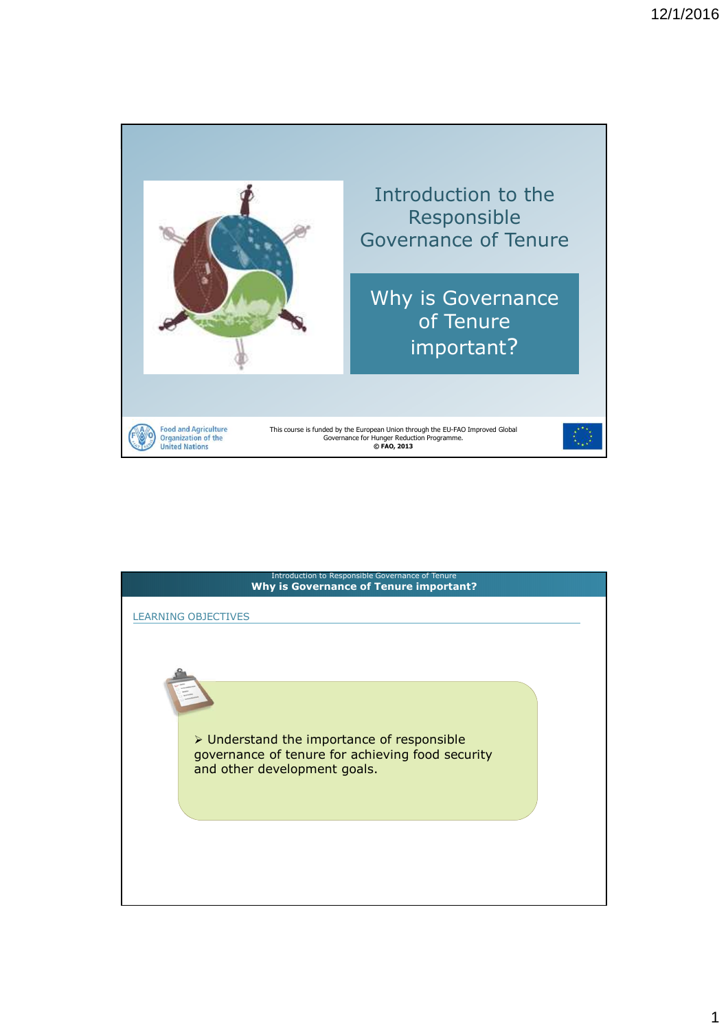

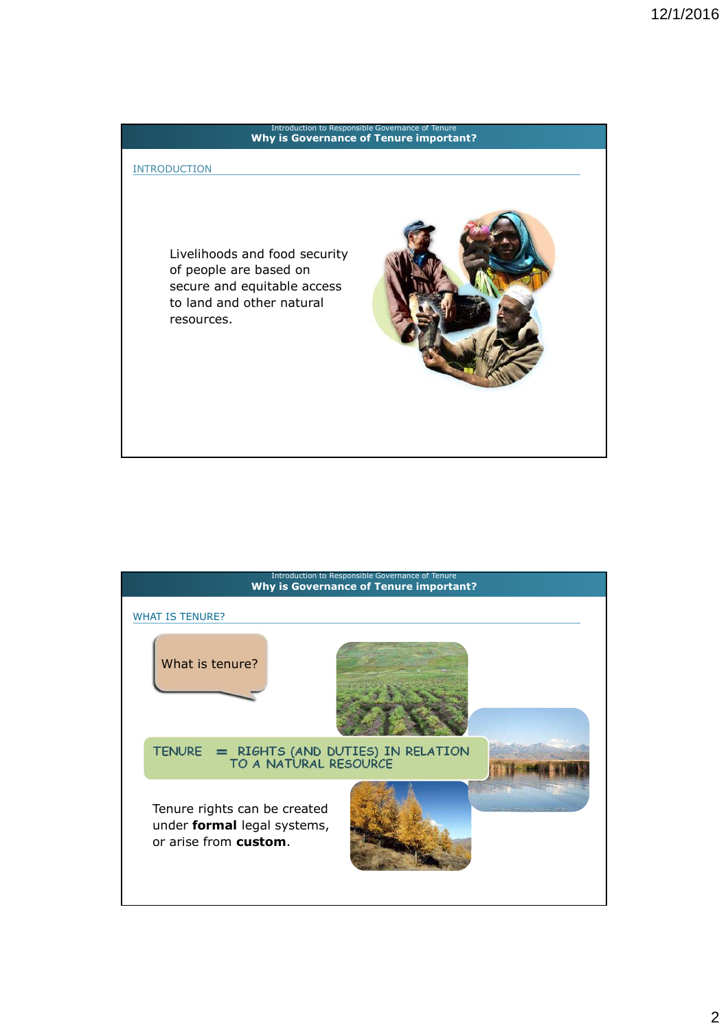# **3. Prime importants** Introduction to Responsible Governance of Tenure **Why is Governance of Tenure important?** Livelihoods and food security of people are based on secure and equitable access to land and other natural resources. INTRODUCTION

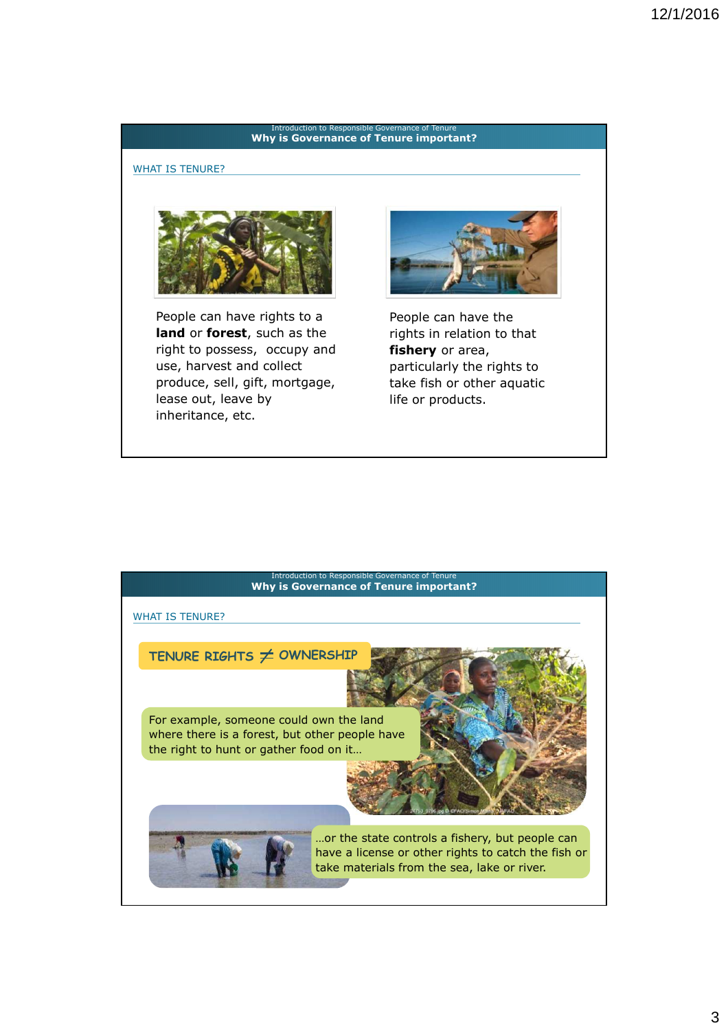#### **3. Principle governance of Tenure important?** Introduction to Responsible Governance of

## WHAT IS TENURE?



People can have rights to a **land** or **forest**, such as the right to possess, occupy and use, harvest and collect produce, sell, gift, mortgage, lease out, leave by inheritance, etc.



People can have the rights in relation to that **fishery** or area, particularly the rights to take fish or other aquatic life or products.

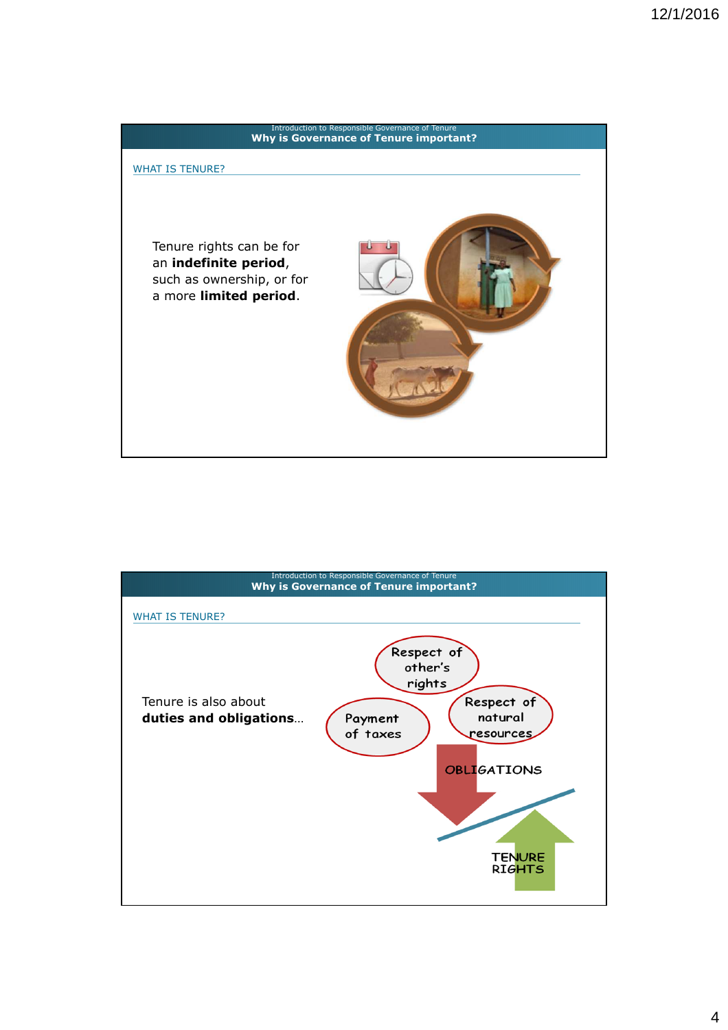

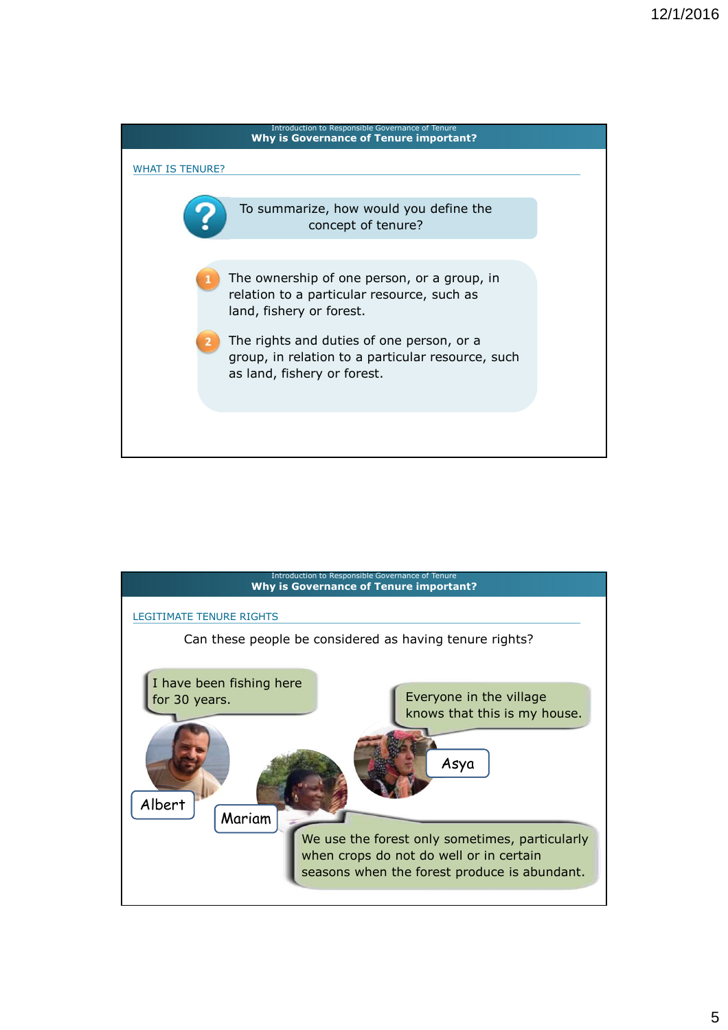

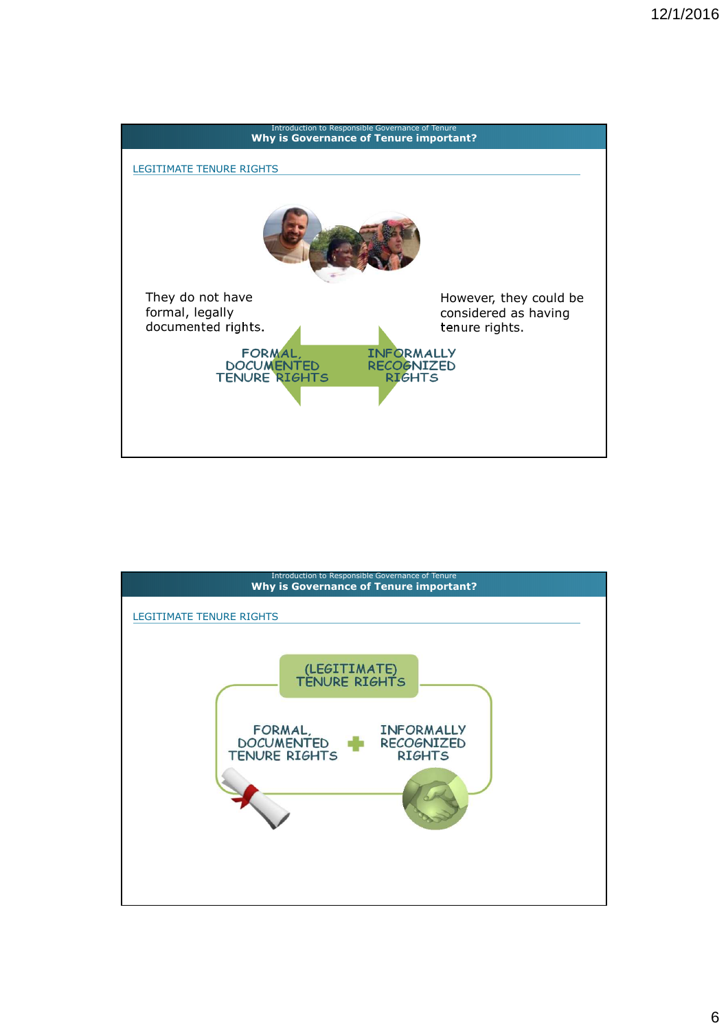

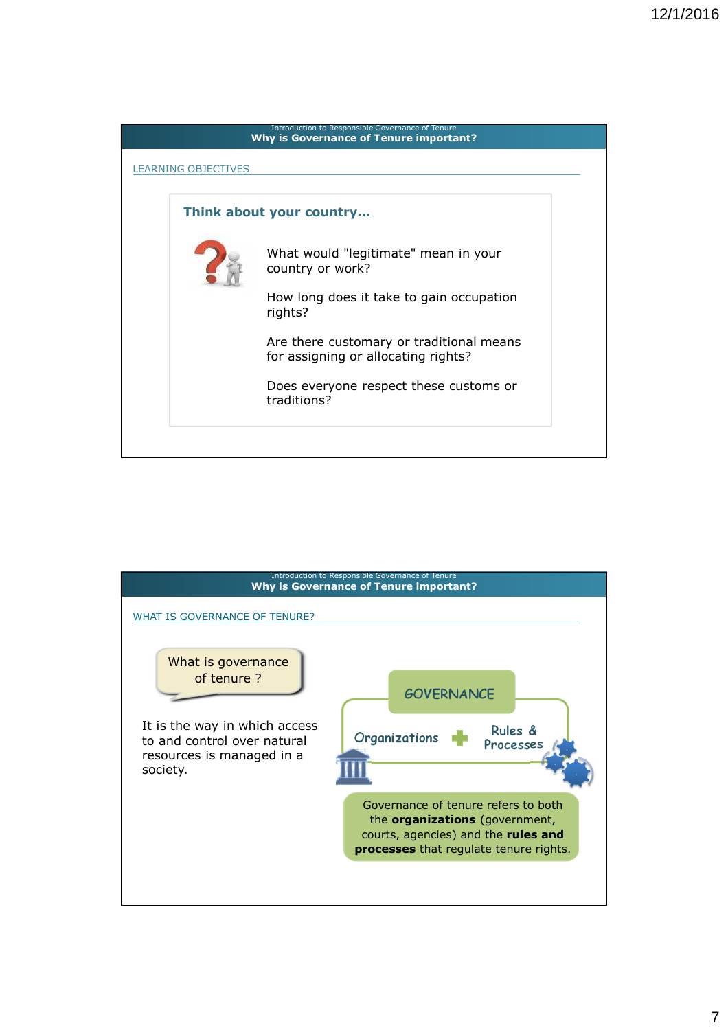| Introduction to Responsible Governance of Tenure<br><b>Why is Governance of Tenure important?</b> |                                                                                 |  |
|---------------------------------------------------------------------------------------------------|---------------------------------------------------------------------------------|--|
| <b>LEARNING OBJECTIVES</b>                                                                        |                                                                                 |  |
| Think about your country                                                                          |                                                                                 |  |
|                                                                                                   | What would "legitimate" mean in your<br>country or work?                        |  |
|                                                                                                   | How long does it take to gain occupation<br>rights?                             |  |
|                                                                                                   | Are there customary or traditional means<br>for assigning or allocating rights? |  |
|                                                                                                   | Does everyone respect these customs or<br>traditions?                           |  |
|                                                                                                   |                                                                                 |  |

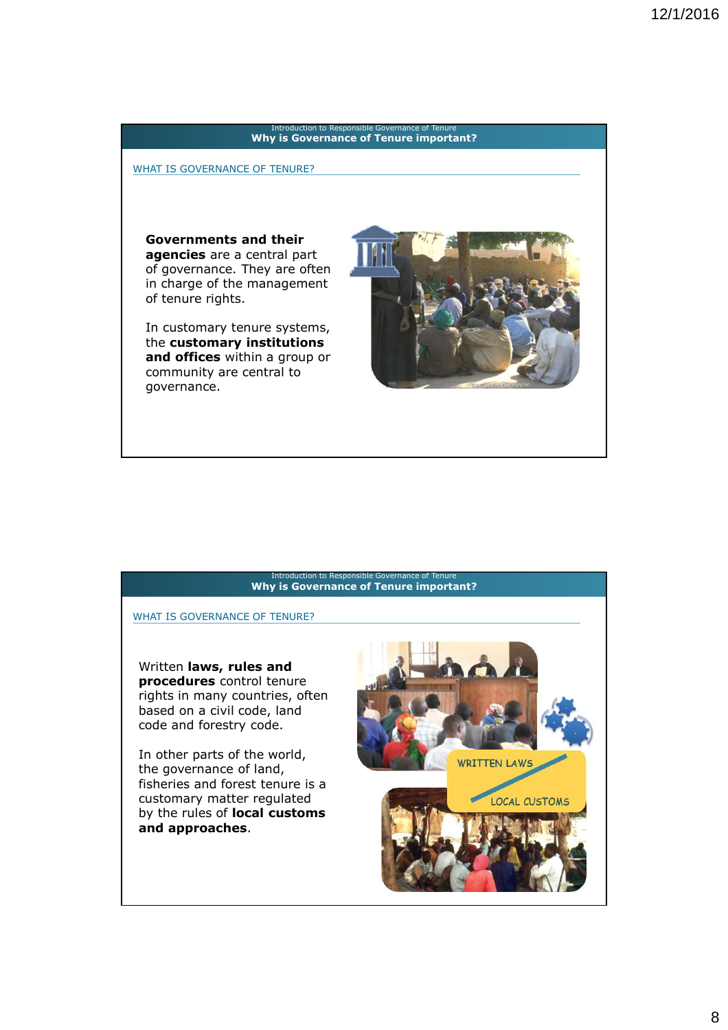### **3. Principle governance of Tenure important?** Introduction to Responsible Governance of Tenure

WHAT IS GOVERNANCE OF TENURE?

**Governments and their agencies** are a central part of governance. They are often in charge of the management of tenure rights.

In customary tenure systems, the **customary institutions and offices** within a group or community are central to governance.



#### **3. Principle governance of Tenure important?** troduction to Responsible

WHAT IS GOVERNANCE OF TENURE?

Written **laws, rules and procedures** control tenure rights in many countries, often based on a civil code, land code and forestry code.

In other parts of the world, the governance of land, fisheries and forest tenure is a customary matter regulated by the rules of **local customs and approaches**.

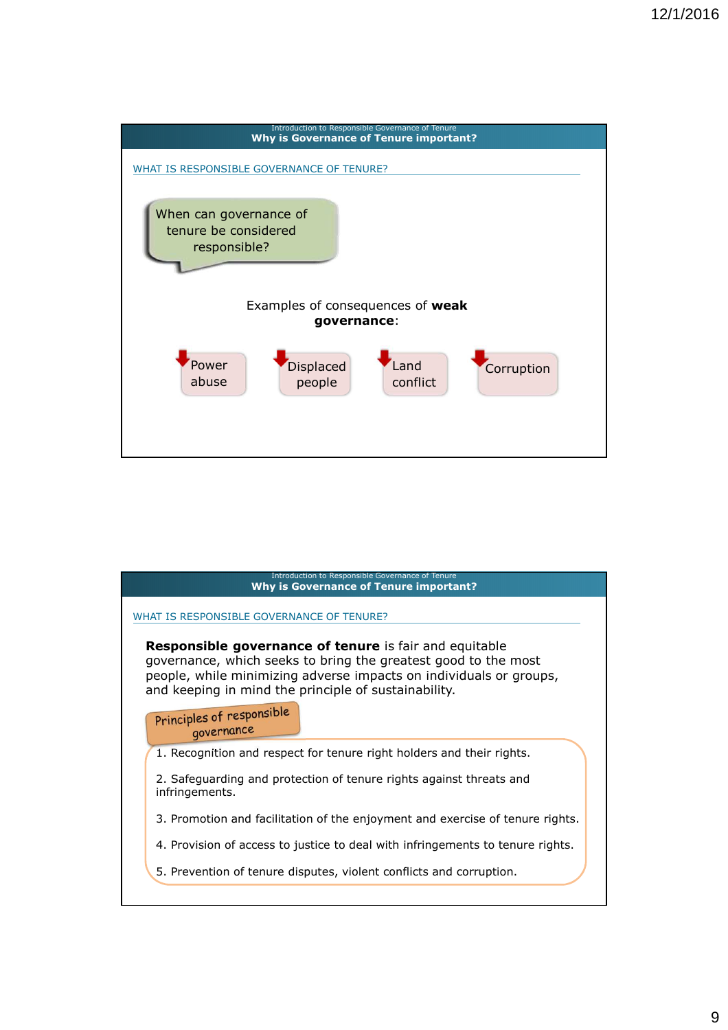

| Introduction to Responsible Governance of Tenure<br><b>Why is Governance of Tenure important?</b>                                                                                                                                                             |  |  |
|---------------------------------------------------------------------------------------------------------------------------------------------------------------------------------------------------------------------------------------------------------------|--|--|
| WHAT IS RESPONSIBLE GOVERNANCE OF TENURE?                                                                                                                                                                                                                     |  |  |
| <b>Responsible governance of tenure</b> is fair and equitable<br>governance, which seeks to bring the greatest good to the most<br>people, while minimizing adverse impacts on individuals or groups,<br>and keeping in mind the principle of sustainability. |  |  |
| Principles of responsible<br>governance                                                                                                                                                                                                                       |  |  |
| 1. Recognition and respect for tenure right holders and their rights.                                                                                                                                                                                         |  |  |
| 2. Safeguarding and protection of tenure rights against threats and<br>infringements.                                                                                                                                                                         |  |  |
| 3. Promotion and facilitation of the enjoyment and exercise of tenure rights.                                                                                                                                                                                 |  |  |
| 4. Provision of access to justice to deal with infringements to tenure rights.                                                                                                                                                                                |  |  |
| 5. Prevention of tenure disputes, violent conflicts and corruption.                                                                                                                                                                                           |  |  |
|                                                                                                                                                                                                                                                               |  |  |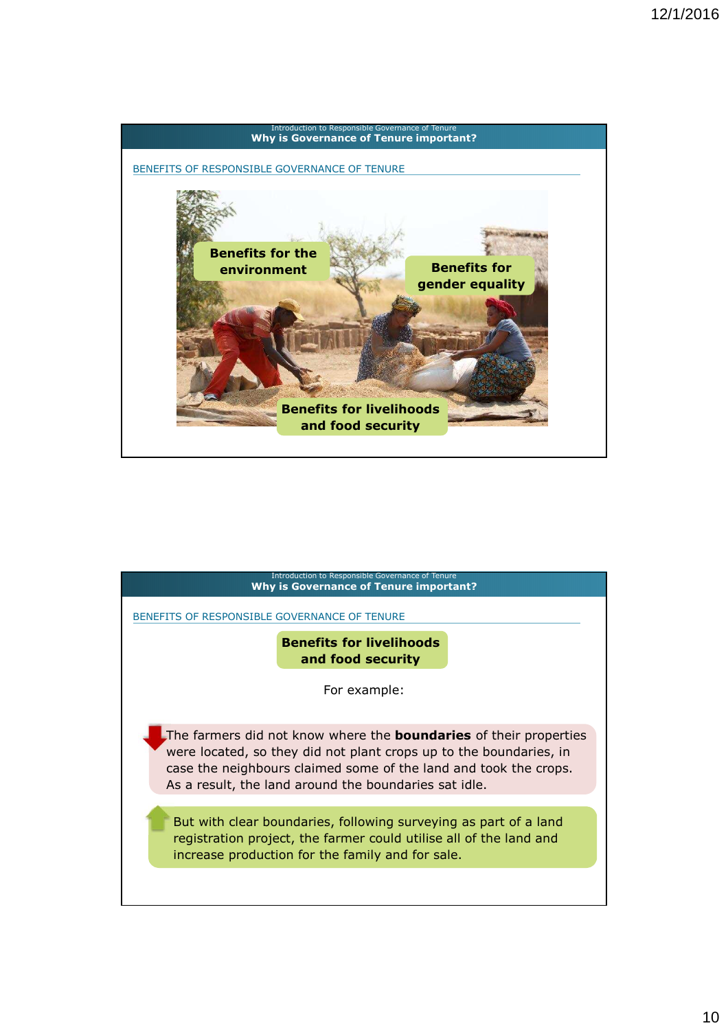

| Introduction to Responsible Governance of Tenure<br><b>Why is Governance of Tenure important?</b>                                                                                                                                                                           |  |  |
|-----------------------------------------------------------------------------------------------------------------------------------------------------------------------------------------------------------------------------------------------------------------------------|--|--|
| BENEFITS OF RESPONSIBLE GOVERNANCE OF TENURE                                                                                                                                                                                                                                |  |  |
| <b>Benefits for livelihoods</b><br>and food security                                                                                                                                                                                                                        |  |  |
| For example:                                                                                                                                                                                                                                                                |  |  |
| The farmers did not know where the <b>boundaries</b> of their properties<br>were located, so they did not plant crops up to the boundaries, in<br>case the neighbours claimed some of the land and took the crops.<br>As a result, the land around the boundaries sat idle. |  |  |
| But with clear boundaries, following surveying as part of a land<br>registration project, the farmer could utilise all of the land and<br>increase production for the family and for sale.                                                                                  |  |  |
|                                                                                                                                                                                                                                                                             |  |  |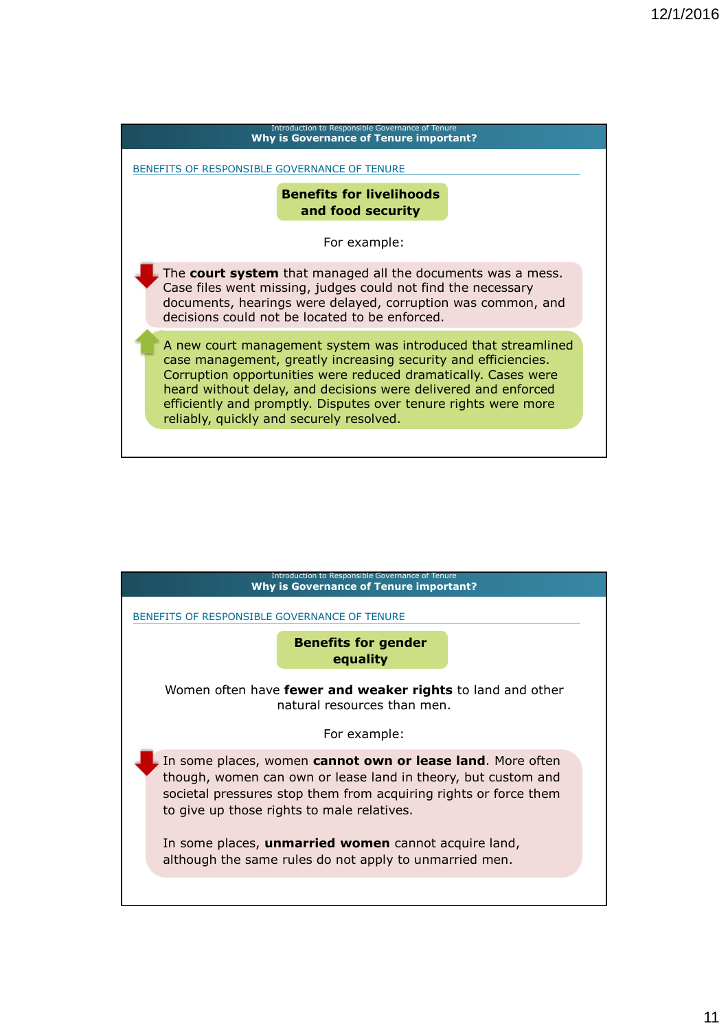# **3. Principle governance of Tenure important?** Introduction to Responsible Governance of Tenur The **court system** that managed all the documents was a mess. Case files went missing, judges could not find the necessary documents, hearings were delayed, corruption was common, and decisions could not be located to be enforced. A new court management system was introduced that streamlined case management, greatly increasing security and efficiencies. Corruption opportunities were reduced dramatically. Cases were heard without delay, and decisions were delivered and enforced efficiently and promptly. Disputes over tenure rights were more reliably, quickly and securely resolved. **Benefits for livelihoods and food security** BENEFITS OF RESPONSIBLE GOVERNANCE OF TENURE For example:

| Introduction to Responsible Governance of Tenure<br><b>Why is Governance of Tenure important?</b>                                                                                                                                                                                                                                                                      |  |  |
|------------------------------------------------------------------------------------------------------------------------------------------------------------------------------------------------------------------------------------------------------------------------------------------------------------------------------------------------------------------------|--|--|
| BENEFITS OF RESPONSIBLE GOVERNANCE OF TENURE                                                                                                                                                                                                                                                                                                                           |  |  |
| <b>Benefits for gender</b><br>equality                                                                                                                                                                                                                                                                                                                                 |  |  |
| Women often have <b>fewer and weaker rights</b> to land and other<br>natural resources than men.                                                                                                                                                                                                                                                                       |  |  |
| For example:                                                                                                                                                                                                                                                                                                                                                           |  |  |
| In some places, women cannot own or lease land. More often<br>though, women can own or lease land in theory, but custom and<br>societal pressures stop them from acquiring rights or force them<br>to give up those rights to male relatives.<br>In some places, <b>unmarried women</b> cannot acquire land,<br>although the same rules do not apply to unmarried men. |  |  |
|                                                                                                                                                                                                                                                                                                                                                                        |  |  |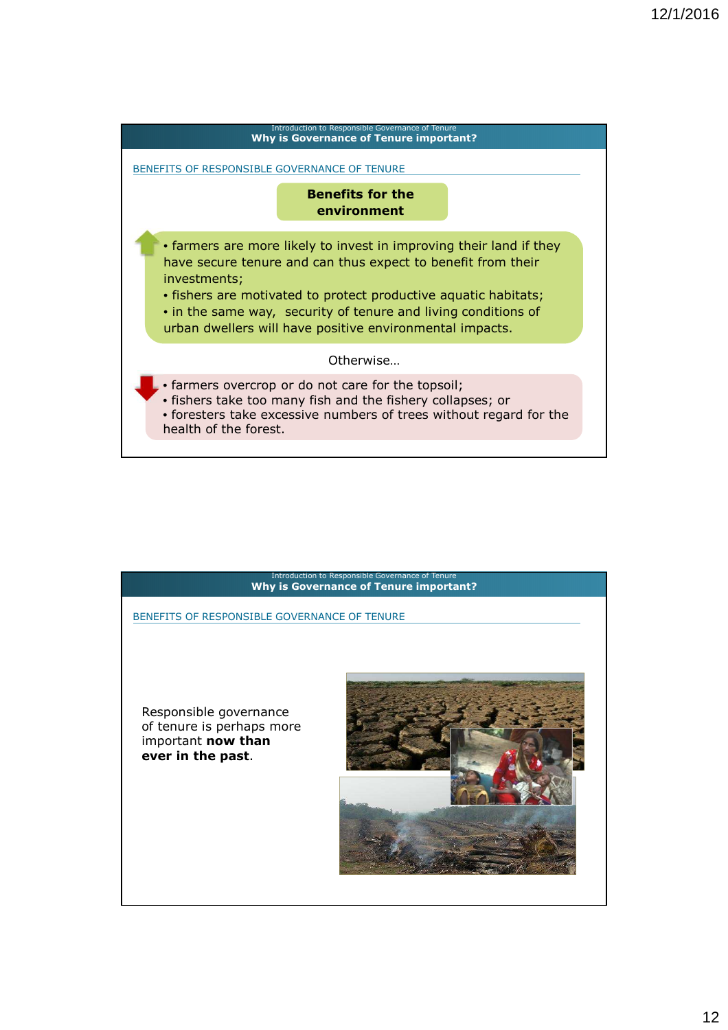